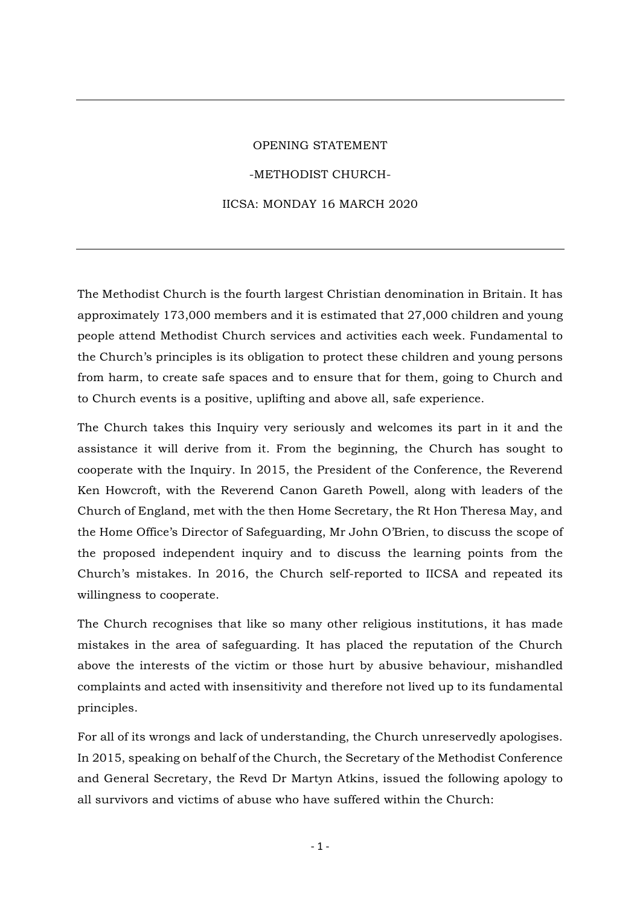## OPENING STATEMENT -METHODIST CHURCH-IICSA: MONDAY 16 MARCH 2020

The Methodist Church is the fourth largest Christian denomination in Britain. It has approximately 173,000 members and it is estimated that 27,000 children and young people attend Methodist Church services and activities each week. Fundamental to the Church's principles is its obligation to protect these children and young persons from harm, to create safe spaces and to ensure that for them, going to Church and to Church events is a positive, uplifting and above all, safe experience.

The Church takes this Inquiry very seriously and welcomes its part in it and the assistance it will derive from it. From the beginning, the Church has sought to cooperate with the Inquiry. In 2015, the President of the Conference, the Reverend Ken Howcroft, with the Reverend Canon Gareth Powell, along with leaders of the Church of England, met with the then Home Secretary, the Rt Hon Theresa May, and the Home Office's Director of Safeguarding, Mr John O'Brien, to discuss the scope of the proposed independent inquiry and to discuss the learning points from the Church's mistakes. In 2016, the Church self-reported to IICSA and repeated its willingness to cooperate.

The Church recognises that like so many other religious institutions, it has made mistakes in the area of safeguarding. It has placed the reputation of the Church above the interests of the victim or those hurt by abusive behaviour, mishandled complaints and acted with insensitivity and therefore not lived up to its fundamental principles.

For all of its wrongs and lack of understanding, the Church unreservedly apologises. In 2015, speaking on behalf of the Church, the Secretary of the Methodist Conference and General Secretary, the Revd Dr Martyn Atkins, issued the following apology to all survivors and victims of abuse who have suffered within the Church: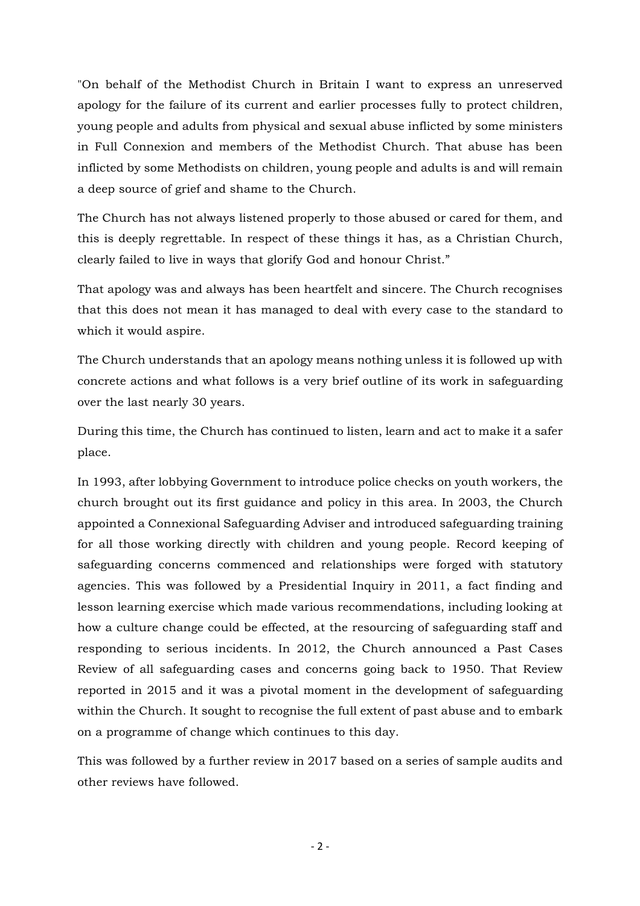"On behalf of the Methodist Church in Britain I want to express an unreserved apology for the failure of its current and earlier processes fully to protect children, young people and adults from physical and sexual abuse inflicted by some ministers in Full Connexion and members of the Methodist Church. That abuse has been inflicted by some Methodists on children, young people and adults is and will remain a deep source of grief and shame to the Church.

The Church has not always listened properly to those abused or cared for them, and this is deeply regrettable. In respect of these things it has, as a Christian Church, clearly failed to live in ways that glorify God and honour Christ."

That apology was and always has been heartfelt and sincere. The Church recognises that this does not mean it has managed to deal with every case to the standard to which it would aspire.

The Church understands that an apology means nothing unless it is followed up with concrete actions and what follows is a very brief outline of its work in safeguarding over the last nearly 30 years.

During this time, the Church has continued to listen, learn and act to make it a safer place.

In 1993, after lobbying Government to introduce police checks on youth workers, the church brought out its first guidance and policy in this area. In 2003, the Church appointed a Connexional Safeguarding Adviser and introduced safeguarding training for all those working directly with children and young people. Record keeping of safeguarding concerns commenced and relationships were forged with statutory agencies. This was followed by a Presidential Inquiry in 2011, a fact finding and lesson learning exercise which made various recommendations, including looking at how a culture change could be effected, at the resourcing of safeguarding staff and responding to serious incidents. In 2012, the Church announced a Past Cases Review of all safeguarding cases and concerns going back to 1950. That Review reported in 2015 and it was a pivotal moment in the development of safeguarding within the Church. It sought to recognise the full extent of past abuse and to embark on a programme of change which continues to this day.

This was followed by a further review in 2017 based on a series of sample audits and other reviews have followed.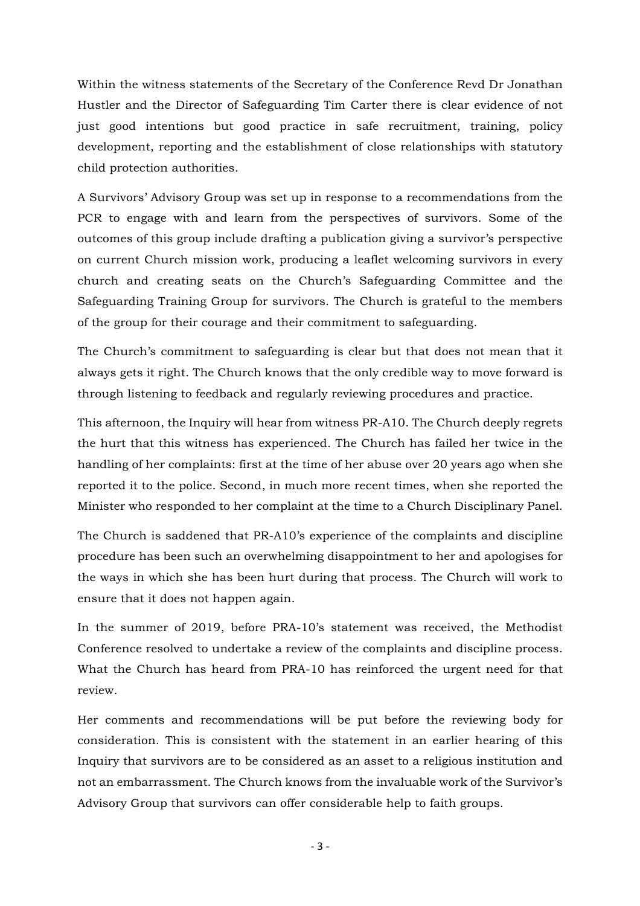Within the witness statements of the Secretary of the Conference Revd Dr Jonathan Hustler and the Director of Safeguarding Tim Carter there is clear evidence of not just good intentions but good practice in safe recruitment, training, policy development, reporting and the establishment of close relationships with statutory child protection authorities.

A Survivors' Advisory Group was set up in response to a recommendations from the PCR to engage with and learn from the perspectives of survivors. Some of the outcomes of this group include drafting a publication giving a survivor's perspective on current Church mission work, producing a leaflet welcoming survivors in every church and creating seats on the Church's Safeguarding Committee and the Safeguarding Training Group for survivors. The Church is grateful to the members of the group for their courage and their commitment to safeguarding.

The Church's commitment to safeguarding is clear but that does not mean that it always gets it right. The Church knows that the only credible way to move forward is through listening to feedback and regularly reviewing procedures and practice.

This afternoon, the Inquiry will hear from witness PR-A10. The Church deeply regrets the hurt that this witness has experienced. The Church has failed her twice in the handling of her complaints: first at the time of her abuse over 20 years ago when she reported it to the police. Second, in much more recent times, when she reported the Minister who responded to her complaint at the time to a Church Disciplinary Panel.

The Church is saddened that PR-A10's experience of the complaints and discipline procedure has been such an overwhelming disappointment to her and apologises for the ways in which she has been hurt during that process. The Church will work to ensure that it does not happen again.

In the summer of 2019, before PRA-10's statement was received, the Methodist Conference resolved to undertake a review of the complaints and discipline process. What the Church has heard from PRA-10 has reinforced the urgent need for that review.

Her comments and recommendations will be put before the reviewing body for consideration. This is consistent with the statement in an earlier hearing of this Inquiry that survivors are to be considered as an asset to a religious institution and not an embarrassment. The Church knows from the invaluable work of the Survivor's Advisory Group that survivors can offer considerable help to faith groups.